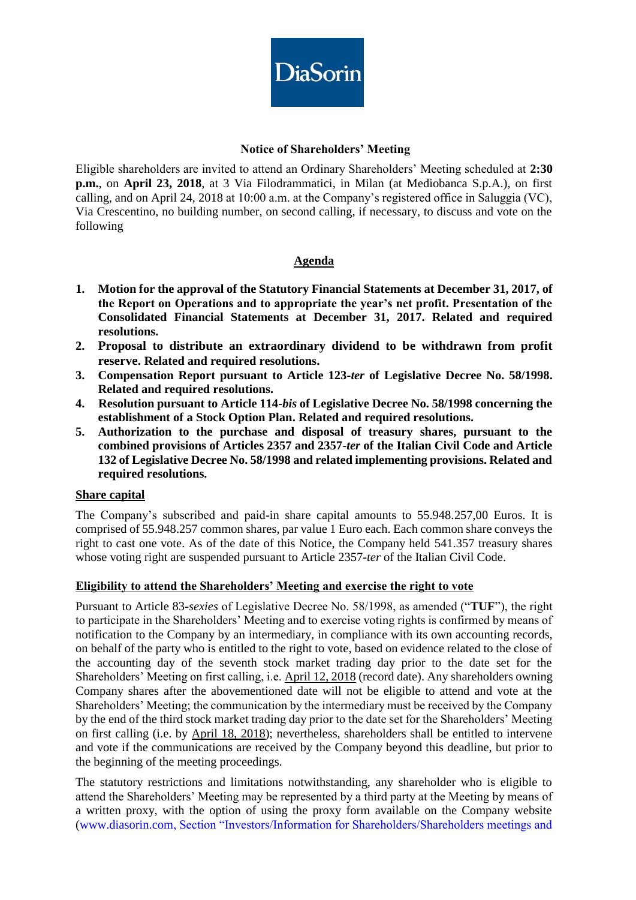

## **Notice of Shareholders' Meeting**

Eligible shareholders are invited to attend an Ordinary Shareholders' Meeting scheduled at **2:30 p.m.**, on **April 23, 2018**, at 3 Via Filodrammatici, in Milan (at Mediobanca S.p.A.), on first calling, and on April 24, 2018 at 10:00 a.m. at the Company's registered office in Saluggia (VC), Via Crescentino, no building number, on second calling, if necessary, to discuss and vote on the following

# **Agenda**

- **1. Motion for the approval of the Statutory Financial Statements at December 31, 2017, of the Report on Operations and to appropriate the year's net profit. Presentation of the Consolidated Financial Statements at December 31, 2017. Related and required resolutions.**
- **2. Proposal to distribute an extraordinary dividend to be withdrawn from profit reserve. Related and required resolutions.**
- **3. Compensation Report pursuant to Article 123-***ter* **of Legislative Decree No. 58/1998. Related and required resolutions.**
- **4. Resolution pursuant to Article 114-***bis* **of Legislative Decree No. 58/1998 concerning the establishment of a Stock Option Plan. Related and required resolutions.**
- **5. Authorization to the purchase and disposal of treasury shares, pursuant to the combined provisions of Articles 2357 and 2357-***ter* **of the Italian Civil Code and Article 132 of Legislative Decree No. 58/1998 and related implementing provisions. Related and required resolutions.**

## **Share capital**

The Company's subscribed and paid-in share capital amounts to 55.948.257,00 Euros. It is comprised of 55.948.257 common shares, par value 1 Euro each. Each common share conveys the right to cast one vote. As of the date of this Notice, the Company held 541.357 treasury shares whose voting right are suspended pursuant to Article 2357-*ter* of the Italian Civil Code.

## **Eligibility to attend the Shareholders' Meeting and exercise the right to vote**

Pursuant to Article 83-*sexies* of Legislative Decree No. 58/1998, as amended ("**TUF**"), the right to participate in the Shareholders' Meeting and to exercise voting rights is confirmed by means of notification to the Company by an intermediary, in compliance with its own accounting records, on behalf of the party who is entitled to the right to vote, based on evidence related to the close of the accounting day of the seventh stock market trading day prior to the date set for the Shareholders' Meeting on first calling, i.e. April 12, 2018 (record date). Any shareholders owning Company shares after the abovementioned date will not be eligible to attend and vote at the Shareholders' Meeting; the communication by the intermediary must be received by the Company by the end of the third stock market trading day prior to the date set for the Shareholders' Meeting on first calling (i.e. by April 18, 2018); nevertheless, shareholders shall be entitled to intervene and vote if the communications are received by the Company beyond this deadline, but prior to the beginning of the meeting proceedings.

The statutory restrictions and limitations notwithstanding, any shareholder who is eligible to attend the Shareholders' Meeting may be represented by a third party at the Meeting by means of a written proxy, with the option of using the proxy form available on the Company website [\(www.diasorin.com,](http://www.diasorin.com/) Section "Investors/Information for Shareholders/Shareholders meetings and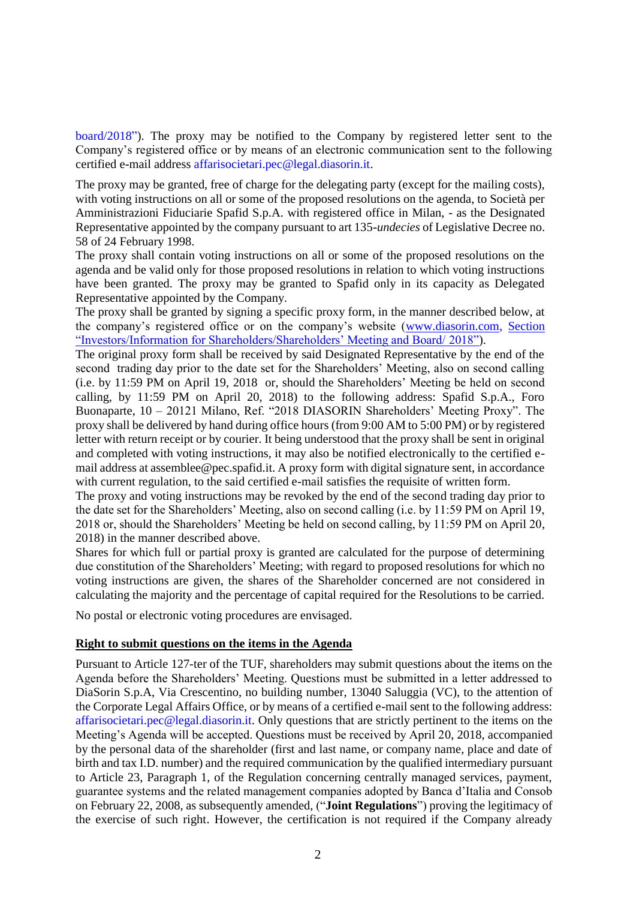board/2018"). The proxy may be notified to the Company by registered letter sent to the Company's registered office or by means of an electronic communication sent to the following certified e-mail address affarisocietari.pec@legal.diasorin.it.

The proxy may be granted, free of charge for the delegating party (except for the mailing costs), with voting instructions on all or some of the proposed resolutions on the agenda, to Società per Amministrazioni Fiduciarie Spafid S.p.A. with registered office in Milan, - as the Designated Representative appointed by the company pursuant to art 135-*undecies* of Legislative Decree no. 58 of 24 February 1998.

The proxy shall contain voting instructions on all or some of the proposed resolutions on the agenda and be valid only for those proposed resolutions in relation to which voting instructions have been granted. The proxy may be granted to Spafid only in its capacity as Delegated Representative appointed by the Company.

The proxy shall be granted by signing a specific proxy form, in the manner described below, at the company's registered office or on the company's website [\(www.diasorin.com,](http://www.diasorin.com/) Section "Investors/Information for Shareholders/Shareholders' Meeting and Board/ 2018").

The original proxy form shall be received by said Designated Representative by the end of the second trading day prior to the date set for the Shareholders' Meeting, also on second calling (i.e. by 11:59 PM on April 19, 2018 or, should the Shareholders' Meeting be held on second calling, by 11:59 PM on April 20, 2018) to the following address: Spafid S.p.A., Foro Buonaparte, 10 – 20121 Milano, Ref. "2018 DIASORIN Shareholders' Meeting Proxy". The proxy shall be delivered by hand during office hours (from 9:00 AM to 5:00 PM) or by registered letter with return receipt or by courier. It being understood that the proxy shall be sent in original and completed with voting instructions, it may also be notified electronically to the certified email address at assemblee@pec.spafid.it. A proxy form with digital signature sent, in accordance with current regulation, to the said certified e-mail satisfies the requisite of written form.

The proxy and voting instructions may be revoked by the end of the second trading day prior to the date set for the Shareholders' Meeting, also on second calling (i.e. by 11:59 PM on April 19, 2018 or, should the Shareholders' Meeting be held on second calling, by 11:59 PM on April 20, 2018) in the manner described above.

Shares for which full or partial proxy is granted are calculated for the purpose of determining due constitution of the Shareholders' Meeting; with regard to proposed resolutions for which no voting instructions are given, the shares of the Shareholder concerned are not considered in calculating the majority and the percentage of capital required for the Resolutions to be carried.

No postal or electronic voting procedures are envisaged.

#### **Right to submit questions on the items in the Agenda**

Pursuant to Article 127-ter of the TUF, shareholders may submit questions about the items on the Agenda before the Shareholders' Meeting. Questions must be submitted in a letter addressed to DiaSorin S.p.A, Via Crescentino, no building number, 13040 Saluggia (VC), to the attention of the Corporate Legal Affairs Office, or by means of a certified e-mail sent to the following address: [affarisocietari.pec@legal.diasorin.it.](mailto:affarisocietari@diasorin.it) Only questions that are strictly pertinent to the items on the Meeting's Agenda will be accepted. Questions must be received by April 20, 2018, accompanied by the personal data of the shareholder (first and last name, or company name, place and date of birth and tax I.D. number) and the required communication by the qualified intermediary pursuant to Article 23, Paragraph 1, of the Regulation concerning centrally managed services, payment, guarantee systems and the related management companies adopted by Banca d'Italia and Consob on February 22, 2008, as subsequently amended, ("**Joint Regulations**") proving the legitimacy of the exercise of such right. However, the certification is not required if the Company already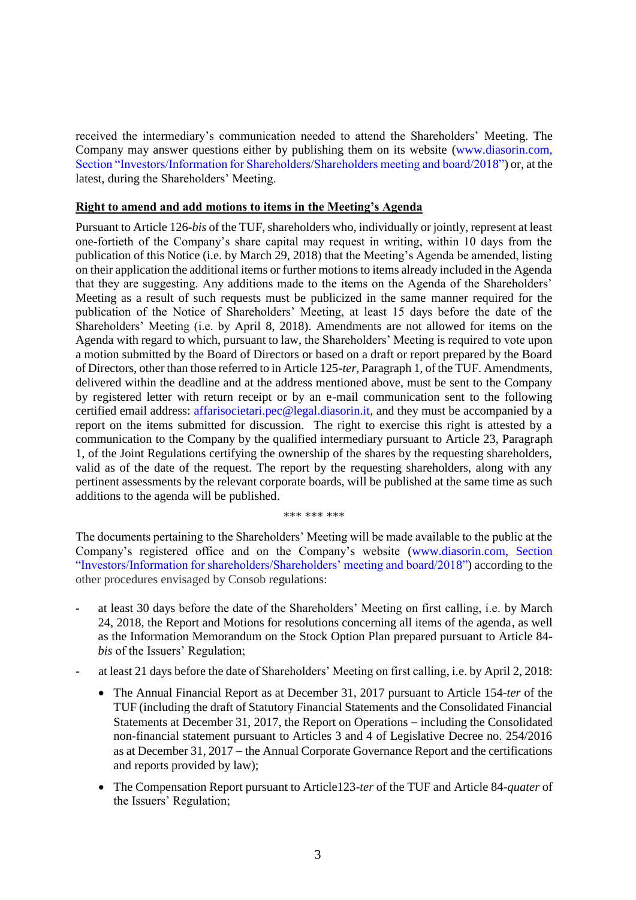received the intermediary's communication needed to attend the Shareholders' Meeting. The Company may answer questions either by publishing them on its website [\(www.diasorin.com,](http://www.diasorin.com/) Section "Investors/Information for Shareholders/Shareholders meeting and board/2018") or, at the latest, during the Shareholders' Meeting.

#### **Right to amend and add motions to items in the Meeting's Agenda**

Pursuant to Article 126-*bis* of the TUF, shareholders who, individually or jointly, represent at least one-fortieth of the Company's share capital may request in writing, within 10 days from the publication of this Notice (i.e. by March 29, 2018) that the Meeting's Agenda be amended, listing on their application the additional items or further motions to items already included in the Agenda that they are suggesting. Any additions made to the items on the Agenda of the Shareholders' Meeting as a result of such requests must be publicized in the same manner required for the publication of the Notice of Shareholders' Meeting, at least 15 days before the date of the Shareholders' Meeting (i.e. by April 8, 2018). Amendments are not allowed for items on the Agenda with regard to which, pursuant to law, the Shareholders' Meeting is required to vote upon a motion submitted by the Board of Directors or based on a draft or report prepared by the Board of Directors, other than those referred to in Article 125-*ter*, Paragraph 1, of the TUF. Amendments, delivered within the deadline and at the address mentioned above, must be sent to the Company by registered letter with return receipt or by an e-mail communication sent to the following certified email address: [affarisocietari.pec@legal.diasorin.it,](mailto:affarisocietari@diasorin.it) and they must be accompanied by a report on the items submitted for discussion. The right to exercise this right is attested by a communication to the Company by the qualified intermediary pursuant to Article 23, Paragraph 1, of the Joint Regulations certifying the ownership of the shares by the requesting shareholders, valid as of the date of the request. The report by the requesting shareholders, along with any pertinent assessments by the relevant corporate boards, will be published at the same time as such additions to the agenda will be published.

\*\*\* \*\*\* \*\*\*

The documents pertaining to the Shareholders' Meeting will be made available to the public at the Company's registered office and on the Company's website (www.diasorin.com, Section "Investors/Information for shareholders/Shareholders' meeting and board/2018") according to the other procedures envisaged by Consob regulations:

- at least 30 days before the date of the Shareholders' Meeting on first calling, i.e. by March 24, 2018, the Report and Motions for resolutions concerning all items of the agenda, as well as the Information Memorandum on the Stock Option Plan prepared pursuant to Article 84 *bis* of the Issuers' Regulation;
- at least 21 days before the date of Shareholders' Meeting on first calling, i.e. by April 2, 2018:
	- The Annual Financial Report as at December 31, 2017 pursuant to Article 154-*ter* of the TUF (including the draft of Statutory Financial Statements and the Consolidated Financial Statements at December 31, 2017, the Report on Operations  $-$  including the Consolidated non-financial statement pursuant to Articles 3 and 4 of Legislative Decree no. 254/2016 as at December 31, 2017 – the Annual Corporate Governance Report and the certifications and reports provided by law);
	- The Compensation Report pursuant to Article123-*ter* of the TUF and Article 84-*quater* of the Issuers' Regulation;